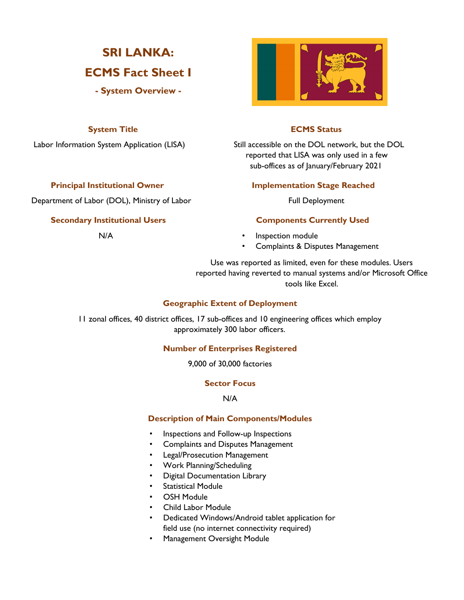# **SRI LANKA:**

## **ECMS Fact Sheet I**

**- System Overview -**

Department of Labor (DOL), Ministry of Labor Full Deployment

### **Secondary Institutional Users Components Currently Used**



### **System Title ECMS Status**

Labor Information System Application (LISA) Still accessible on the DOL network, but the DOL reported that LISA was only used in a few sub-offices as of January/February 2021

### **Principal Institutional Owner Stage Reached Implementation Stage Reached**

- N/A **•** Inspection module
	- Complaints & Disputes Management

Use was reported as limited, even for these modules. Users reported having reverted to manual systems and/or Microsoft Office tools like Excel.

### **Geographic Extent of Deployment**

11 zonal offices, 40 district offices, 17 sub-offices and 10 engineering offices which employ approximately 300 labor officers.

### **Number of Enterprises Registered**

9,000 of 30,000 factories

### **Sector Focus**

N/A

### **Description of Main Components/Modules**

- Inspections and Follow-up Inspections
- Complaints and Disputes Management
- Legal/Prosecution Management
- Work Planning/Scheduling
- Digital Documentation Library
- **Statistical Module**
- **OSH Module**
- Child Labor Module
- Dedicated Windows/Android tablet application for field use (no internet connectivity required)
- Management Oversight Module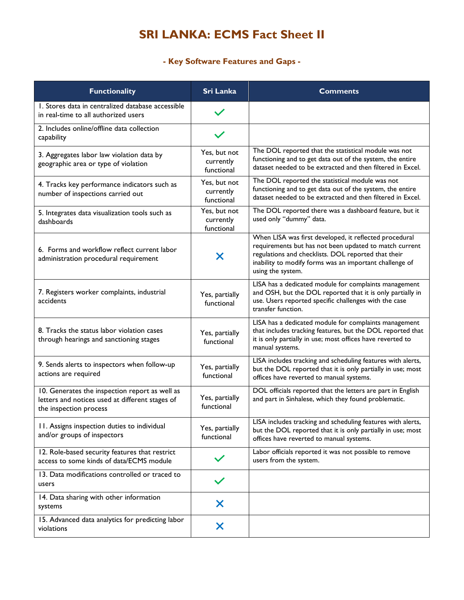## **SRI LANKA: ECMS Fact Sheet II**

### **- Key Software Features and Gaps -**

| <b>Functionality</b>                                                                                                        | <b>Sri Lanka</b>                        | <b>Comments</b>                                                                                                                                                                                                                                         |  |
|-----------------------------------------------------------------------------------------------------------------------------|-----------------------------------------|---------------------------------------------------------------------------------------------------------------------------------------------------------------------------------------------------------------------------------------------------------|--|
| 1. Stores data in centralized database accessible<br>in real-time to all authorized users                                   |                                         |                                                                                                                                                                                                                                                         |  |
| 2. Includes online/offline data collection<br>capability                                                                    |                                         |                                                                                                                                                                                                                                                         |  |
| 3. Aggregates labor law violation data by<br>geographic area or type of violation                                           | Yes, but not<br>currently<br>functional | The DOL reported that the statistical module was not<br>functioning and to get data out of the system, the entire<br>dataset needed to be extracted and then filtered in Excel.                                                                         |  |
| 4. Tracks key performance indicators such as<br>number of inspections carried out                                           | Yes, but not<br>currently<br>functional | The DOL reported the statistical module was not<br>functioning and to get data out of the system, the entire<br>dataset needed to be extracted and then filtered in Excel.                                                                              |  |
| 5. Integrates data visualization tools such as<br>dashboards                                                                | Yes, but not<br>currently<br>functional | The DOL reported there was a dashboard feature, but it<br>used only "dummy" data.                                                                                                                                                                       |  |
| 6. Forms and workflow reflect current labor<br>administration procedural requirement                                        | Х                                       | When LISA was first developed, it reflected procedural<br>requirements but has not been updated to match current<br>regulations and checklists. DOL reported that their<br>inability to modify forms was an important challenge of<br>using the system. |  |
| 7. Registers worker complaints, industrial<br>accidents                                                                     | Yes, partially<br>functional            | LISA has a dedicated module for complaints management<br>and OSH, but the DOL reported that it is only partially in<br>use. Users reported specific challenges with the case<br>transfer function.                                                      |  |
| 8. Tracks the status labor violation cases<br>through hearings and sanctioning stages                                       | Yes, partially<br>functional            | LISA has a dedicated module for complaints management<br>that includes tracking features, but the DOL reported that<br>it is only partially in use; most offices have reverted to<br>manual systems.                                                    |  |
| 9. Sends alerts to inspectors when follow-up<br>actions are required                                                        | Yes, partially<br>functional            | LISA includes tracking and scheduling features with alerts,<br>but the DOL reported that it is only partially in use; most<br>offices have reverted to manual systems.                                                                                  |  |
| 10. Generates the inspection report as well as<br>letters and notices used at different stages of<br>the inspection process | Yes, partially<br>functional            | DOL officials reported that the letters are part in English<br>and part in Sinhalese, which they found problematic.                                                                                                                                     |  |
| 11. Assigns inspection duties to individual<br>and/or groups of inspectors                                                  | Yes, partially<br>functional            | LISA includes tracking and scheduling features with alerts,<br>but the DOL reported that it is only partially in use; most<br>offices have reverted to manual systems.                                                                                  |  |
| 12. Role-based security features that restrict<br>access to some kinds of data/ECMS module                                  |                                         | Labor officials reported it was not possible to remove<br>users from the system.                                                                                                                                                                        |  |
| 13. Data modifications controlled or traced to<br>users                                                                     |                                         |                                                                                                                                                                                                                                                         |  |
| 14. Data sharing with other information<br>systems                                                                          | X                                       |                                                                                                                                                                                                                                                         |  |
| 15. Advanced data analytics for predicting labor<br>violations                                                              | X                                       |                                                                                                                                                                                                                                                         |  |